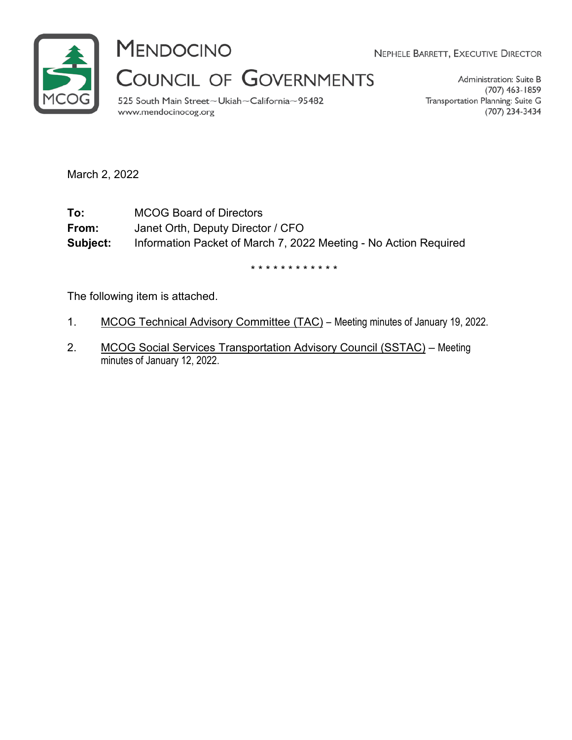

**MENDOCINO** 

NEPHELE BARRETT, EXECUTIVE DIRECTOR

COUNCIL OF GOVERNMENTS

525 South Main Street~Ukiah~California~95482 www.mendocinocog.org

Administration: Suite B (707) 463-1859 Transportation Planning: Suite G (707) 234-3434

March 2, 2022

**To:** MCOG Board of Directors **From:** Janet Orth, Deputy Director / CFO **Subject:** Information Packet of March 7, 2022 Meeting - No Action Required

\* \* \* \* \* \* \* \* \* \* \* \*

The following item is attached.

- 1. MCOG Technical Advisory Committee (TAC) Meeting minutes of January 19, 2022.
- 2. MCOG Social Services Transportation Advisory Council (SSTAC) Meeting minutes of January 12, 2022.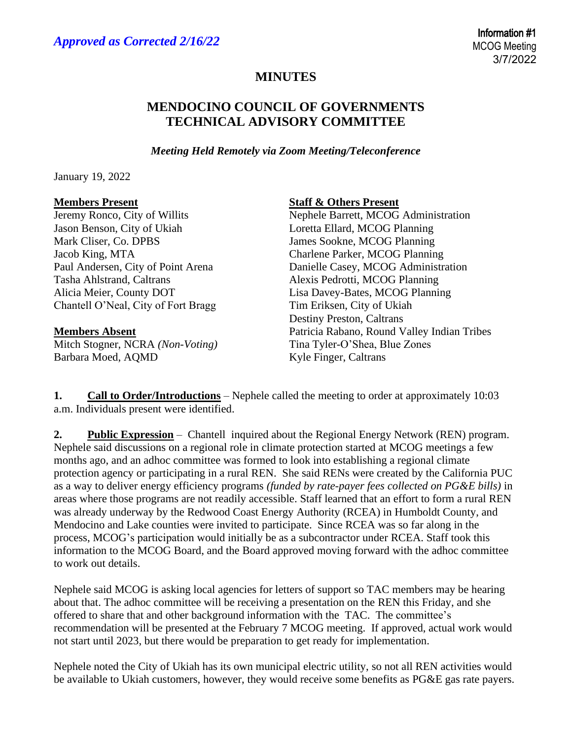## **MINUTES**

## **MENDOCINO COUNCIL OF GOVERNMENTS TECHNICAL ADVISORY COMMITTEE**

*Meeting Held Remotely via Zoom Meeting/Teleconference*

January 19, 2022

Jason Benson, City of Ukiah Loretta Ellard, MCOG Planning Mark Cliser, Co. DPBS James Sookne, MCOG Planning Jacob King, MTA Charlene Parker, MCOG Planning Tasha Ahlstrand, Caltrans **Alexis Pedrotti, MCOG Planning** Chantell O'Neal, City of Fort Bragg Tim Eriksen, City of Ukiah

Mitch Stogner, NCRA *(Non-Voting)* Tina Tyler-O'Shea, Blue Zones Barbara Moed, AQMD Kyle Finger, Caltrans

**Members Present Staff & Others Present**

Jeremy Ronco, City of Willits Nephele Barrett, MCOG Administration Paul Andersen, City of Point Arena Danielle Casey, MCOG Administration Alicia Meier, County DOT Lisa Davey-Bates, MCOG Planning Destiny Preston, Caltrans **Members Absent Patricia Rabano, Round Valley Indian Tribes** 

**1. Call to Order/Introductions** – Nephele called the meeting to order at approximately 10:03 a.m. Individuals present were identified.

**2. Public Expression** – Chantell inquired about the Regional Energy Network (REN) program. Nephele said discussions on a regional role in climate protection started at MCOG meetings a few months ago, and an adhoc committee was formed to look into establishing a regional climate protection agency or participating in a rural REN. She said RENs were created by the California PUC as a way to deliver energy efficiency programs *(funded by rate-payer fees collected on PG&E bills)* in areas where those programs are not readily accessible. Staff learned that an effort to form a rural REN was already underway by the Redwood Coast Energy Authority (RCEA) in Humboldt County, and Mendocino and Lake counties were invited to participate. Since RCEA was so far along in the process, MCOG's participation would initially be as a subcontractor under RCEA. Staff took this information to the MCOG Board, and the Board approved moving forward with the adhoc committee to work out details.

Nephele said MCOG is asking local agencies for letters of support so TAC members may be hearing about that. The adhoc committee will be receiving a presentation on the REN this Friday, and she offered to share that and other background information with the TAC. The committee's recommendation will be presented at the February 7 MCOG meeting. If approved, actual work would not start until 2023, but there would be preparation to get ready for implementation.

Nephele noted the City of Ukiah has its own municipal electric utility, so not all REN activities would be available to Ukiah customers, however, they would receive some benefits as PG&E gas rate payers.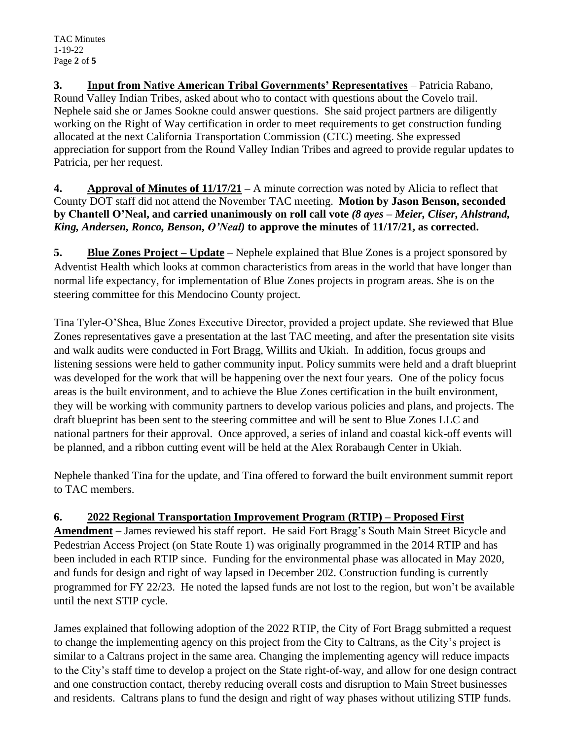**3. Input from Native American Tribal Governments' Representatives** – Patricia Rabano, Round Valley Indian Tribes, asked about who to contact with questions about the Covelo trail. Nephele said she or James Sookne could answer questions. She said project partners are diligently working on the Right of Way certification in order to meet requirements to get construction funding allocated at the next California Transportation Commission (CTC) meeting. She expressed appreciation for support from the Round Valley Indian Tribes and agreed to provide regular updates to Patricia, per her request.

**4. Approval of Minutes of 11/17/21 –** A minute correction was noted by Alicia to reflect that County DOT staff did not attend the November TAC meeting. **Motion by Jason Benson, seconded by Chantell O'Neal, and carried unanimously on roll call vote** *(8 ayes – Meier, Cliser, Ahlstrand, King, Andersen, Ronco, Benson, O'Neal)* **to approve the minutes of 11/17/21, as corrected.**

**5. Blue Zones Project – Update** – Nephele explained that Blue Zones is a project sponsored by Adventist Health which looks at common characteristics from areas in the world that have longer than normal life expectancy, for implementation of Blue Zones projects in program areas. She is on the steering committee for this Mendocino County project.

Tina Tyler-O'Shea, Blue Zones Executive Director, provided a project update. She reviewed that Blue Zones representatives gave a presentation at the last TAC meeting, and after the presentation site visits and walk audits were conducted in Fort Bragg, Willits and Ukiah. In addition, focus groups and listening sessions were held to gather community input. Policy summits were held and a draft blueprint was developed for the work that will be happening over the next four years. One of the policy focus areas is the built environment, and to achieve the Blue Zones certification in the built environment, they will be working with community partners to develop various policies and plans, and projects. The draft blueprint has been sent to the steering committee and will be sent to Blue Zones LLC and national partners for their approval. Once approved, a series of inland and coastal kick-off events will be planned, and a ribbon cutting event will be held at the Alex Rorabaugh Center in Ukiah.

Nephele thanked Tina for the update, and Tina offered to forward the built environment summit report to TAC members.

## **6. 2022 Regional Transportation Improvement Program (RTIP) – Proposed First**

**Amendment** – James reviewed his staff report. He said Fort Bragg's South Main Street Bicycle and Pedestrian Access Project (on State Route 1) was originally programmed in the 2014 RTIP and has been included in each RTIP since. Funding for the environmental phase was allocated in May 2020, and funds for design and right of way lapsed in December 202. Construction funding is currently programmed for FY 22/23. He noted the lapsed funds are not lost to the region, but won't be available until the next STIP cycle.

James explained that following adoption of the 2022 RTIP, the City of Fort Bragg submitted a request to change the implementing agency on this project from the City to Caltrans, as the City's project is similar to a Caltrans project in the same area. Changing the implementing agency will reduce impacts to the City's staff time to develop a project on the State right-of-way, and allow for one design contract and one construction contact, thereby reducing overall costs and disruption to Main Street businesses and residents. Caltrans plans to fund the design and right of way phases without utilizing STIP funds.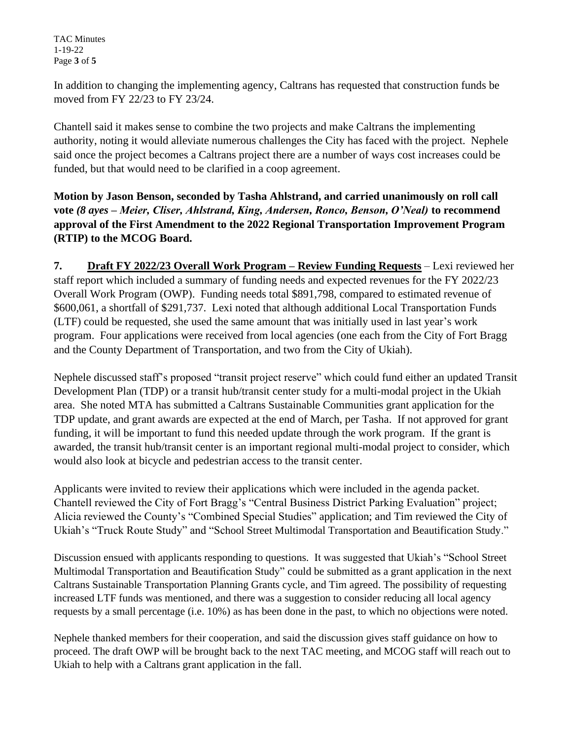TAC Minutes 1-19-22 Page **3** of **5**

In addition to changing the implementing agency, Caltrans has requested that construction funds be moved from FY 22/23 to FY 23/24.

Chantell said it makes sense to combine the two projects and make Caltrans the implementing authority, noting it would alleviate numerous challenges the City has faced with the project. Nephele said once the project becomes a Caltrans project there are a number of ways cost increases could be funded, but that would need to be clarified in a coop agreement.

**Motion by Jason Benson, seconded by Tasha Ahlstrand, and carried unanimously on roll call vote** *(8 ayes – Meier, Cliser, Ahlstrand, King, Andersen, Ronco, Benson, O'Neal)* **to recommend approval of the First Amendment to the 2022 Regional Transportation Improvement Program (RTIP) to the MCOG Board.** 

**7. Draft FY 2022/23 Overall Work Program – Review Funding Requests** – Lexi reviewed her staff report which included a summary of funding needs and expected revenues for the FY 2022/23 Overall Work Program (OWP). Funding needs total \$891,798, compared to estimated revenue of \$600,061, a shortfall of \$291,737. Lexi noted that although additional Local Transportation Funds (LTF) could be requested, she used the same amount that was initially used in last year's work program. Four applications were received from local agencies (one each from the City of Fort Bragg and the County Department of Transportation, and two from the City of Ukiah).

Nephele discussed staff's proposed "transit project reserve" which could fund either an updated Transit Development Plan (TDP) or a transit hub/transit center study for a multi-modal project in the Ukiah area. She noted MTA has submitted a Caltrans Sustainable Communities grant application for the TDP update, and grant awards are expected at the end of March, per Tasha. If not approved for grant funding, it will be important to fund this needed update through the work program. If the grant is awarded, the transit hub/transit center is an important regional multi-modal project to consider, which would also look at bicycle and pedestrian access to the transit center.

Applicants were invited to review their applications which were included in the agenda packet. Chantell reviewed the City of Fort Bragg's "Central Business District Parking Evaluation" project; Alicia reviewed the County's "Combined Special Studies" application; and Tim reviewed the City of Ukiah's "Truck Route Study" and "School Street Multimodal Transportation and Beautification Study."

Discussion ensued with applicants responding to questions. It was suggested that Ukiah's "School Street Multimodal Transportation and Beautification Study" could be submitted as a grant application in the next Caltrans Sustainable Transportation Planning Grants cycle, and Tim agreed. The possibility of requesting increased LTF funds was mentioned, and there was a suggestion to consider reducing all local agency requests by a small percentage (i.e. 10%) as has been done in the past, to which no objections were noted.

Nephele thanked members for their cooperation, and said the discussion gives staff guidance on how to proceed. The draft OWP will be brought back to the next TAC meeting, and MCOG staff will reach out to Ukiah to help with a Caltrans grant application in the fall.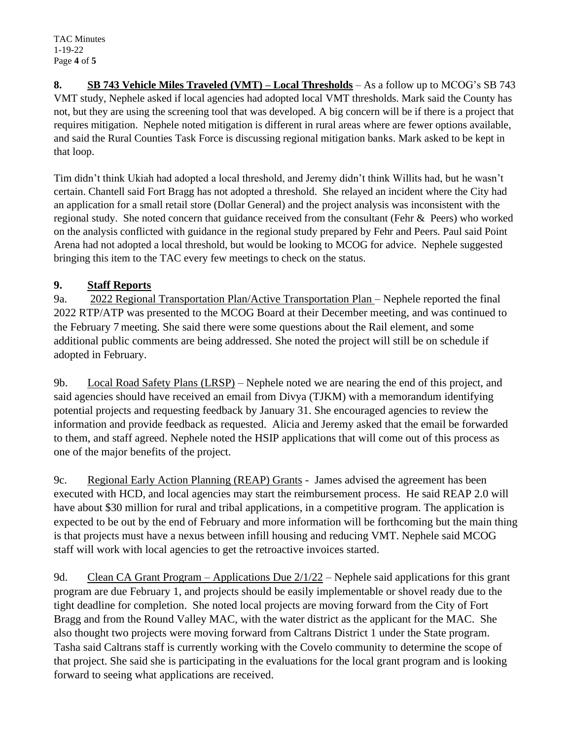TAC Minutes 1-19-22 Page **4** of **5**

**8. SB 743 Vehicle Miles Traveled (VMT) – Local Thresholds** – As a follow up to MCOG's SB 743 VMT study, Nephele asked if local agencies had adopted local VMT thresholds. Mark said the County has not, but they are using the screening tool that was developed. A big concern will be if there is a project that requires mitigation. Nephele noted mitigation is different in rural areas where are fewer options available, and said the Rural Counties Task Force is discussing regional mitigation banks. Mark asked to be kept in that loop.

Tim didn't think Ukiah had adopted a local threshold, and Jeremy didn't think Willits had, but he wasn't certain. Chantell said Fort Bragg has not adopted a threshold. She relayed an incident where the City had an application for a small retail store (Dollar General) and the project analysis was inconsistent with the regional study. She noted concern that guidance received from the consultant (Fehr & Peers) who worked on the analysis conflicted with guidance in the regional study prepared by Fehr and Peers. Paul said Point Arena had not adopted a local threshold, but would be looking to MCOG for advice. Nephele suggested bringing this item to the TAC every few meetings to check on the status.

## **9. Staff Reports**

9a. 2022 Regional Transportation Plan/Active Transportation Plan – Nephele reported the final 2022 RTP/ATP was presented to the MCOG Board at their December meeting, and was continued to the February 7 meeting. She said there were some questions about the Rail element, and some additional public comments are being addressed. She noted the project will still be on schedule if adopted in February.

9b. Local Road Safety Plans (LRSP) – Nephele noted we are nearing the end of this project, and said agencies should have received an email from Divya (TJKM) with a memorandum identifying potential projects and requesting feedback by January 31. She encouraged agencies to review the information and provide feedback as requested. Alicia and Jeremy asked that the email be forwarded to them, and staff agreed. Nephele noted the HSIP applications that will come out of this process as one of the major benefits of the project.

9c. Regional Early Action Planning (REAP) Grants - James advised the agreement has been executed with HCD, and local agencies may start the reimbursement process. He said REAP 2.0 will have about \$30 million for rural and tribal applications, in a competitive program. The application is expected to be out by the end of February and more information will be forthcoming but the main thing is that projects must have a nexus between infill housing and reducing VMT. Nephele said MCOG staff will work with local agencies to get the retroactive invoices started.

9d. Clean CA Grant Program – Applications Due 2/1/22 – Nephele said applications for this grant program are due February 1, and projects should be easily implementable or shovel ready due to the tight deadline for completion. She noted local projects are moving forward from the City of Fort Bragg and from the Round Valley MAC, with the water district as the applicant for the MAC. She also thought two projects were moving forward from Caltrans District 1 under the State program. Tasha said Caltrans staff is currently working with the Covelo community to determine the scope of that project. She said she is participating in the evaluations for the local grant program and is looking forward to seeing what applications are received.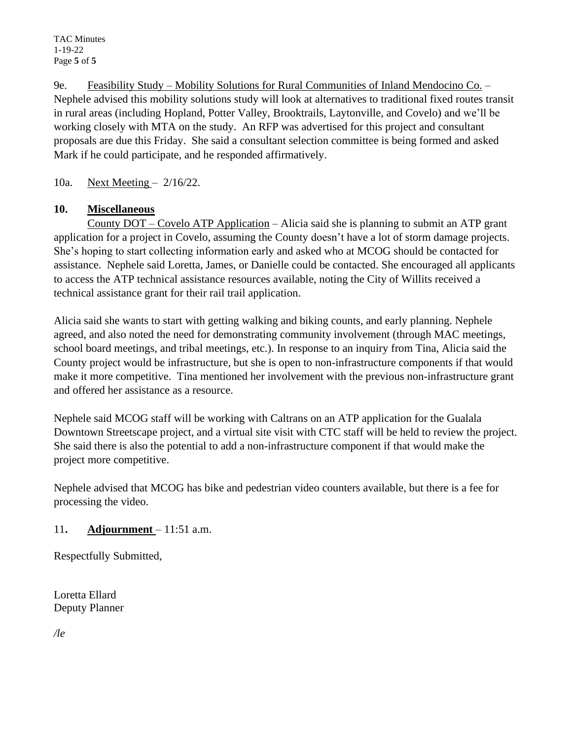9e. Feasibility Study – Mobility Solutions for Rural Communities of Inland Mendocino Co. – Nephele advised this mobility solutions study will look at alternatives to traditional fixed routes transit in rural areas (including Hopland, Potter Valley, Brooktrails, Laytonville, and Covelo) and we'll be working closely with MTA on the study. An RFP was advertised for this project and consultant proposals are due this Friday. She said a consultant selection committee is being formed and asked Mark if he could participate, and he responded affirmatively.

10a. Next Meeting – 2/16/22.

## **10. Miscellaneous**

County DOT – Covelo ATP Application – Alicia said she is planning to submit an ATP grant application for a project in Covelo, assuming the County doesn't have a lot of storm damage projects. She's hoping to start collecting information early and asked who at MCOG should be contacted for assistance. Nephele said Loretta, James, or Danielle could be contacted. She encouraged all applicants to access the ATP technical assistance resources available, noting the City of Willits received a technical assistance grant for their rail trail application.

Alicia said she wants to start with getting walking and biking counts, and early planning. Nephele agreed, and also noted the need for demonstrating community involvement (through MAC meetings, school board meetings, and tribal meetings, etc.). In response to an inquiry from Tina, Alicia said the County project would be infrastructure, but she is open to non-infrastructure components if that would make it more competitive. Tina mentioned her involvement with the previous non-infrastructure grant and offered her assistance as a resource.

Nephele said MCOG staff will be working with Caltrans on an ATP application for the Gualala Downtown Streetscape project, and a virtual site visit with CTC staff will be held to review the project. She said there is also the potential to add a non-infrastructure component if that would make the project more competitive.

Nephele advised that MCOG has bike and pedestrian video counters available, but there is a fee for processing the video.

## 11**. Adjournment** – 11:51 a.m.

Respectfully Submitted,

Loretta Ellard Deputy Planner

*/le*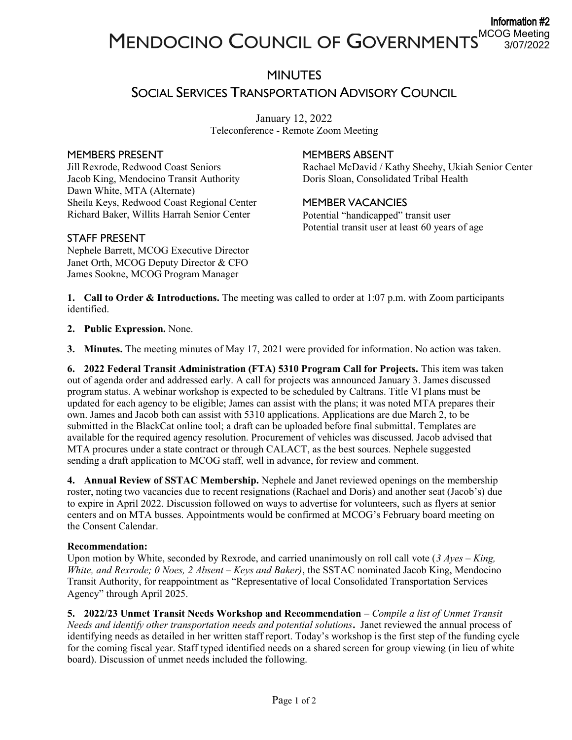#### Information #2 MCOG Meeting 3/07/2022

## MINUTES SOCIAL SERVICES TRANSPORTATION ADVISORY COUNCIL

January 12, 2022 Teleconference - Remote Zoom Meeting

#### MEMBERS PRESENT

Jill Rexrode, Redwood Coast Seniors Jacob King, Mendocino Transit Authority Dawn White, MTA (Alternate) Sheila Keys, Redwood Coast Regional Center Richard Baker, Willits Harrah Senior Center

## MEMBERS ABSENT

Rachael McDavid / Kathy Sheehy, Ukiah Senior Center Doris Sloan, Consolidated Tribal Health

### MEMBER VACANCIES

Potential "handicapped" transit user Potential transit user at least 60 years of age

### STAFF PRESENT

Nephele Barrett, MCOG Executive Director Janet Orth, MCOG Deputy Director & CFO James Sookne, MCOG Program Manager

1. Call to Order & Introductions. The meeting was called to order at 1:07 p.m. with Zoom participants identified.

2. Public Expression. None.

3. Minutes. The meeting minutes of May 17, 2021 were provided for information. No action was taken.

6. 2022 Federal Transit Administration (FTA) 5310 Program Call for Projects. This item was taken out of agenda order and addressed early. A call for projects was announced January 3. James discussed program status. A webinar workshop is expected to be scheduled by Caltrans. Title VI plans must be updated for each agency to be eligible; James can assist with the plans; it was noted MTA prepares their own. James and Jacob both can assist with 5310 applications. Applications are due March 2, to be submitted in the BlackCat online tool; a draft can be uploaded before final submittal. Templates are available for the required agency resolution. Procurement of vehicles was discussed. Jacob advised that MTA procures under a state contract or through CALACT, as the best sources. Nephele suggested sending a draft application to MCOG staff, well in advance, for review and comment.

4. Annual Review of SSTAC Membership. Nephele and Janet reviewed openings on the membership roster, noting two vacancies due to recent resignations (Rachael and Doris) and another seat (Jacob's) due to expire in April 2022. Discussion followed on ways to advertise for volunteers, such as flyers at senior centers and on MTA busses. Appointments would be confirmed at MCOG's February board meeting on the Consent Calendar.

#### Recommendation:

Upon motion by White, seconded by Rexrode, and carried unanimously on roll call vote  $(3 Ayes - King,$ White, and Rexrode; 0 Noes, 2 Absent – Keys and Baker), the SSTAC nominated Jacob King, Mendocino Transit Authority, for reappointment as "Representative of local Consolidated Transportation Services Agency" through April 2025.

5. 2022/23 Unmet Transit Needs Workshop and Recommendation – Compile a list of Unmet Transit Needs and identify other transportation needs and potential solutions. Janet reviewed the annual process of identifying needs as detailed in her written staff report. Today's workshop is the first step of the funding cycle for the coming fiscal year. Staff typed identified needs on a shared screen for group viewing (in lieu of white board). Discussion of unmet needs included the following.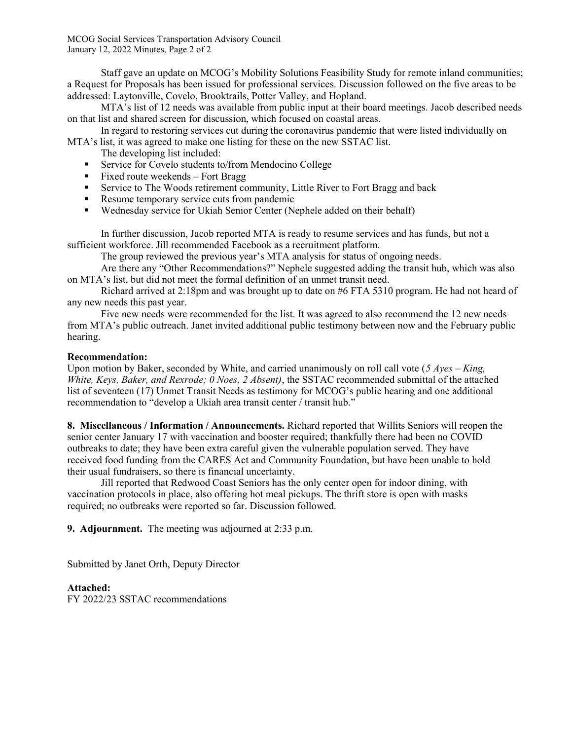MCOG Social Services Transportation Advisory Council January 12, 2022 Minutes, Page 2 of 2

Staff gave an update on MCOG's Mobility Solutions Feasibility Study for remote inland communities; a Request for Proposals has been issued for professional services. Discussion followed on the five areas to be addressed: Laytonville, Covelo, Brooktrails, Potter Valley, and Hopland.

MTA's list of 12 needs was available from public input at their board meetings. Jacob described needs on that list and shared screen for discussion, which focused on coastal areas.

In regard to restoring services cut during the coronavirus pandemic that were listed individually on MTA's list, it was agreed to make one listing for these on the new SSTAC list.

The developing list included:

- Service for Covelo students to/from Mendocino College
- Fixed route weekends Fort Bragg
- **EXECUTE:** Service to The Woods retirement community, Little River to Fort Bragg and back
- Resume temporary service cuts from pandemic
- Wednesday service for Ukiah Senior Center (Nephele added on their behalf)

In further discussion, Jacob reported MTA is ready to resume services and has funds, but not a sufficient workforce. Jill recommended Facebook as a recruitment platform.

The group reviewed the previous year's MTA analysis for status of ongoing needs.

Are there any "Other Recommendations?" Nephele suggested adding the transit hub, which was also on MTA's list, but did not meet the formal definition of an unmet transit need.

Richard arrived at 2:18pm and was brought up to date on #6 FTA 5310 program. He had not heard of any new needs this past year.

Five new needs were recommended for the list. It was agreed to also recommend the 12 new needs from MTA's public outreach. Janet invited additional public testimony between now and the February public hearing.

#### Recommendation:

Upon motion by Baker, seconded by White, and carried unanimously on roll call vote (5 Ayes – King, White, Keys, Baker, and Rexrode; 0 Noes, 2 Absent), the SSTAC recommended submittal of the attached list of seventeen (17) Unmet Transit Needs as testimony for MCOG's public hearing and one additional recommendation to "develop a Ukiah area transit center / transit hub."

8. Miscellaneous / Information / Announcements. Richard reported that Willits Seniors will reopen the senior center January 17 with vaccination and booster required; thankfully there had been no COVID outbreaks to date; they have been extra careful given the vulnerable population served. They have received food funding from the CARES Act and Community Foundation, but have been unable to hold their usual fundraisers, so there is financial uncertainty.

Jill reported that Redwood Coast Seniors has the only center open for indoor dining, with vaccination protocols in place, also offering hot meal pickups. The thrift store is open with masks required; no outbreaks were reported so far. Discussion followed.

9. Adjournment. The meeting was adjourned at 2:33 p.m.

Submitted by Janet Orth, Deputy Director

#### Attached:

FY 2022/23 SSTAC recommendations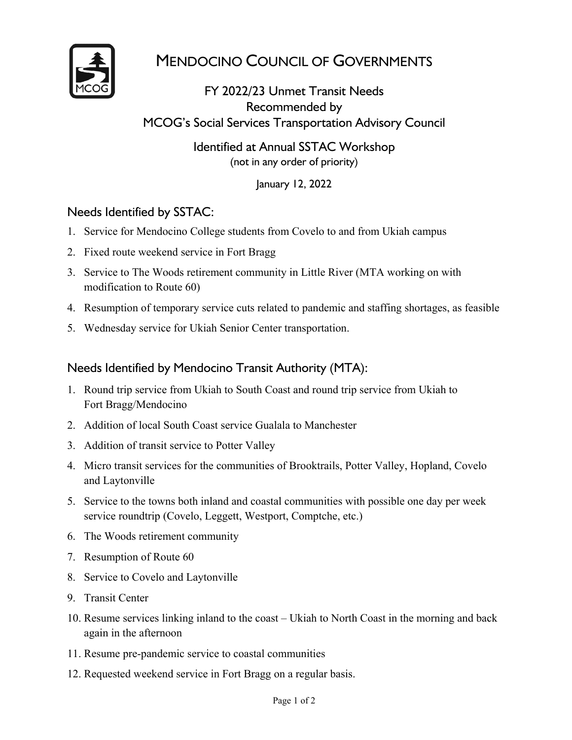

# MENDOCINO COUNCIL OF GOVERNMENTS

FY 2022/23 Unmet Transit Needs Recommended by MCOG's Social Services Transportation Advisory Council

> Identified at Annual SSTAC Workshop (not in any order of priority)

> > January 12, 2022

## Needs Identified by SSTAC:

- 1. Service for Mendocino College students from Covelo to and from Ukiah campus
- 2. Fixed route weekend service in Fort Bragg
- 3. Service to The Woods retirement community in Little River (MTA working on with modification to Route 60)
- 4. Resumption of temporary service cuts related to pandemic and staffing shortages, as feasible
- 5. Wednesday service for Ukiah Senior Center transportation.

## Needs Identified by Mendocino Transit Authority (MTA):

- 1. Round trip service from Ukiah to South Coast and round trip service from Ukiah to Fort Bragg/Mendocino
- 2. Addition of local South Coast service Gualala to Manchester
- 3. Addition of transit service to Potter Valley
- 4. Micro transit services for the communities of Brooktrails, Potter Valley, Hopland, Covelo and Laytonville
- 5. Service to the towns both inland and coastal communities with possible one day per week service roundtrip (Covelo, Leggett, Westport, Comptche, etc.)
- 6. The Woods retirement community
- 7. Resumption of Route 60
- 8. Service to Covelo and Laytonville
- 9. Transit Center
- 10. Resume services linking inland to the coast Ukiah to North Coast in the morning and back again in the afternoon
- 11. Resume pre-pandemic service to coastal communities
- 12. Requested weekend service in Fort Bragg on a regular basis.